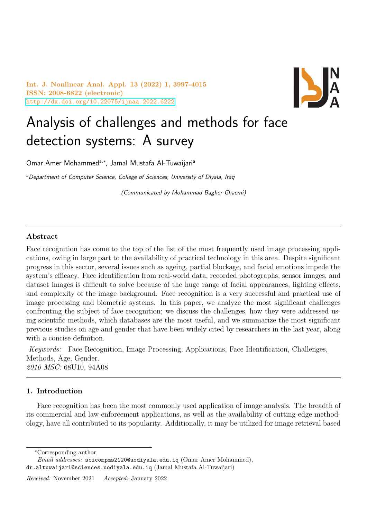Int. J. Nonlinear Anal. Appl. 13 (2022) 1, 3997-4015 ISSN: 2008-6822 (electronic) <http://dx.doi.org/10.22075/ijnaa.2022.6222>



# Analysis of challenges and methods for face detection systems: A survey

Omar Amer Mohammed<sup>a,\*</sup>, Jamal Mustafa Al-Tuwaijari<sup>a</sup>

aDepartment of Computer Science, College of Sciences, University of Diyala, Iraq

(Communicated by Mohammad Bagher Ghaemi)

### Abstract

Face recognition has come to the top of the list of the most frequently used image processing applications, owing in large part to the availability of practical technology in this area. Despite significant progress in this sector, several issues such as ageing, partial blockage, and facial emotions impede the system's efficacy. Face identification from real-world data, recorded photographs, sensor images, and dataset images is difficult to solve because of the huge range of facial appearances, lighting effects, and complexity of the image background. Face recognition is a very successful and practical use of image processing and biometric systems. In this paper, we analyze the most significant challenges confronting the subject of face recognition; we discuss the challenges, how they were addressed using scientific methods, which databases are the most useful, and we summarize the most significant previous studies on age and gender that have been widely cited by researchers in the last year, along with a concise definition.

Keywords: Face Recognition, Image Processing, Applications, Face Identification, Challenges, Methods, Age, Gender. 2010 MSC: 68U10, 94A08

## 1. Introduction

Face recognition has been the most commonly used application of image analysis. The breadth of its commercial and law enforcement applications, as well as the availability of cutting-edge methodology, have all contributed to its popularity. Additionally, it may be utilized for image retrieval based

<sup>∗</sup>Corresponding author

Email addresses: scicompms2120@uodiyala.edu.iq (Omar Amer Mohammed), dr.altuwaijari@sciences.uodiyala.edu.iq (Jamal Mustafa Al-Tuwaijari)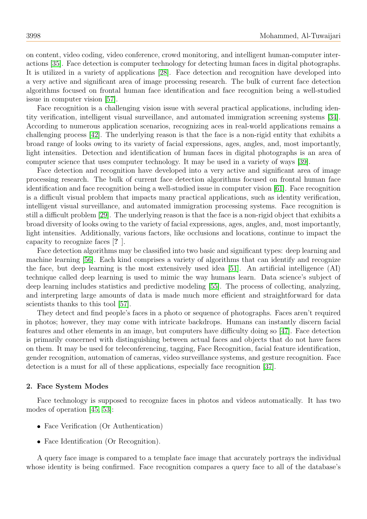on content, video coding, video conference, crowd monitoring, and intelligent human-computer interactions [\[35\]](#page-17-0). Face detection is computer technology for detecting human faces in digital photographs. It is utilized in a variety of applications [\[28\]](#page-17-1). Face detection and recognition have developed into a very active and significant area of image processing research. The bulk of current face detection algorithms focused on frontal human face identification and face recognition being a well-studied issue in computer vision [\[57\]](#page-18-0).

Face recognition is a challenging vision issue with several practical applications, including identity verification, intelligent visual surveillance, and automated immigration screening systems [\[34\]](#page-17-2). According to numerous application scenarios, recognizing aces in real-world applications remains a challenging process [\[42\]](#page-17-3). The underlying reason is that the face is a non-rigid entity that exhibits a broad range of looks owing to its variety of facial expressions, ages, angles, and, most importantly, light intensities. Detection and identification of human faces in digital photographs is an area of computer science that uses computer technology. It may be used in a variety of ways [\[39\]](#page-17-4).

Face detection and recognition have developed into a very active and significant area of image processing research. The bulk of current face detection algorithms focused on frontal human face identification and face recognition being a well-studied issue in computer vision [\[61\]](#page-18-1). Face recognition is a difficult visual problem that impacts many practical applications, such as identity verification, intelligent visual surveillance, and automated immigration processing systems. Face recognition is still a difficult problem [\[29\]](#page-17-5). The underlying reason is that the face is a non-rigid object that exhibits a broad diversity of looks owing to the variety of facial expressions, ages, angles, and, most importantly, light intensities. Additionally, various factors, like occlusions and locations, continue to impact the capacity to recognize faces [? ].

Face detection algorithms may be classified into two basic and significant types: deep learning and machine learning [\[56\]](#page-18-2). Each kind comprises a variety of algorithms that can identify and recognize the face, but deep learning is the most extensively used idea [\[51\]](#page-18-3). An artificial intelligence (AI) technique called deep learning is used to mimic the way humans learn. Data science's subject of deep learning includes statistics and predictive modeling [\[55\]](#page-18-4). The process of collecting, analyzing, and interpreting large amounts of data is made much more efficient and straightforward for data scientists thanks to this tool [\[57\]](#page-18-0).

They detect and find people's faces in a photo or sequence of photographs. Faces aren't required in photos; however, they may come with intricate backdrops. Humans can instantly discern facial features and other elements in an image, but computers have difficulty doing so [\[47\]](#page-17-6). Face detection is primarily concerned with distinguishing between actual faces and objects that do not have faces on them. It may be used for teleconferencing, tagging, Face Recognition, facial feature identification, gender recognition, automation of cameras, video surveillance systems, and gesture recognition. Face detection is a must for all of these applications, especially face recognition [\[37\]](#page-17-7).

#### 2. Face System Modes

Face technology is supposed to recognize faces in photos and videos automatically. It has two modes of operation [\[45,](#page-17-8) [53\]](#page-18-5):

- Face Verification (Or Authentication)
- Face Identification (Or Recognition).

A query face image is compared to a template face image that accurately portrays the individual whose identity is being confirmed. Face recognition compares a query face to all of the database's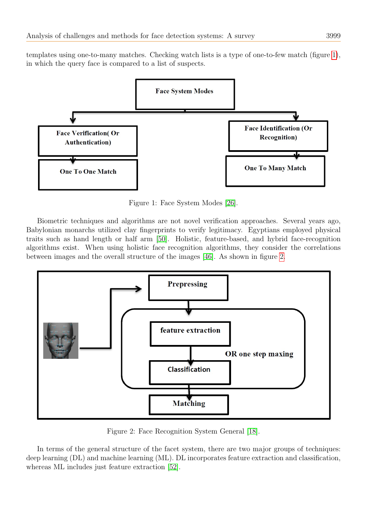templates using one-to-many matches. Checking watch lists is a type of one-to-few match (figure [1\)](#page-2-0), in which the query face is compared to a list of suspects.

<span id="page-2-0"></span>

Figure 1: Face System Modes [\[26\]](#page-17-9).

Biometric techniques and algorithms are not novel verification approaches. Several years ago, Babylonian monarchs utilized clay fingerprints to verify legitimacy. Egyptians employed physical traits such as hand length or half arm [\[50\]](#page-18-6). Holistic, feature-based, and hybrid face-recognition algorithms exist. When using holistic face recognition algorithms, they consider the correlations between images and the overall structure of the images [\[46\]](#page-17-10). As shown in figure [2.](#page-2-1)

<span id="page-2-1"></span>

Figure 2: Face Recognition System General [\[18\]](#page-16-0).

In terms of the general structure of the facet system, there are two major groups of techniques: deep learning (DL) and machine learning (ML). DL incorporates feature extraction and classification, whereas ML includes just feature extraction [\[52\]](#page-18-7).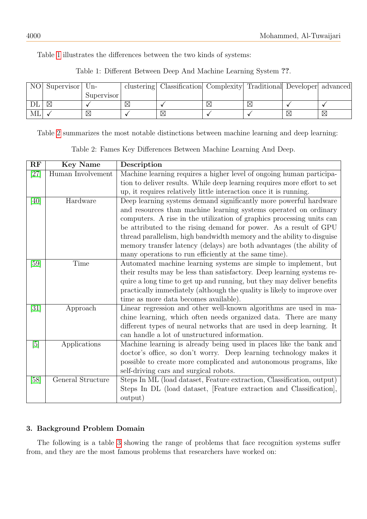<span id="page-3-0"></span>Table [1](#page-3-0) illustrates the differences between the two kinds of systems:

| NO | Supervisor | $Un-$      | clustering  | Classification Complexity Traditional Developer advanced |   |             |             |
|----|------------|------------|-------------|----------------------------------------------------------|---|-------------|-------------|
|    |            | Supervisor |             |                                                          |   |             |             |
|    | ⋉          |            | $\boxtimes$ |                                                          | X |             |             |
| МL |            | X          |             | X                                                        |   | $\boxtimes$ | $\boxtimes$ |

Table 1: Different Between Deep And Machine Learning System ??.

<span id="page-3-1"></span>Table [2](#page-3-1) summarizes the most notable distinctions between machine learning and deep learning:

| Table 2: Fames Key Differences Between Machine Learning And Deep. |  |  |  |  |  |  |  |  |
|-------------------------------------------------------------------|--|--|--|--|--|--|--|--|
|-------------------------------------------------------------------|--|--|--|--|--|--|--|--|

| RF                                                                                                                                                                  | <b>Key Name</b>   | Description                                                              |
|---------------------------------------------------------------------------------------------------------------------------------------------------------------------|-------------------|--------------------------------------------------------------------------|
| [27]                                                                                                                                                                | Human Involvement | Machine learning requires a higher level of ongoing human participa-     |
|                                                                                                                                                                     |                   | tion to deliver results. While deep learning requires more effort to set |
|                                                                                                                                                                     |                   | up, it requires relatively little interaction once it is running.        |
| [40]                                                                                                                                                                | Hardware          | Deep learning systems demand significantly more powerful hardware        |
|                                                                                                                                                                     |                   | and resources than machine learning systems operated on ordinary         |
|                                                                                                                                                                     |                   | computers. A rise in the utilization of graphics processing units can    |
|                                                                                                                                                                     |                   | be attributed to the rising demand for power. As a result of GPU         |
|                                                                                                                                                                     |                   | thread parallelism, high bandwidth memory and the ability to disguise    |
|                                                                                                                                                                     |                   | memory transfer latency (delays) are both advantages (the ability of     |
|                                                                                                                                                                     |                   | many operations to run efficiently at the same time).                    |
| [59]                                                                                                                                                                | Time              | Automated machine learning systems are simple to implement, but          |
|                                                                                                                                                                     |                   | their results may be less than satisfactory. Deep learning systems re-   |
|                                                                                                                                                                     |                   | quire a long time to get up and running, but they may deliver benefits   |
|                                                                                                                                                                     |                   | practically immediately (although the quality is likely to improve over  |
|                                                                                                                                                                     |                   | time as more data becomes available).                                    |
| [31]                                                                                                                                                                | Approach          | Linear regression and other well-known algorithms are used in ma-        |
|                                                                                                                                                                     |                   | chine learning, which often needs organized data. There are many         |
|                                                                                                                                                                     |                   | different types of neural networks that are used in deep learning. It    |
|                                                                                                                                                                     |                   | can handle a lot of unstructured information.                            |
| $[5] % \includegraphics[width=1\textwidth]{images/TrDiM-Architecture.png} \caption{The image shows the number of three different ways.} \label{TrDiM-Architecture}$ | Applications      | Machine learning is already being used in places like the bank and       |
|                                                                                                                                                                     |                   | doctor's office, so don't worry. Deep learning technology makes it       |
|                                                                                                                                                                     |                   | possible to create more complicated and autonomous programs, like        |
|                                                                                                                                                                     |                   | self-driving cars and surgical robots.                                   |
| [58]                                                                                                                                                                | General Structure | Steps In ML (load dataset, Feature extraction, Classification, output)   |
|                                                                                                                                                                     |                   | Steps In DL (load dataset, [Feature extraction and Classification],      |
|                                                                                                                                                                     |                   | output)                                                                  |

# 3. Background Problem Domain

The following is a table [3](#page-4-0) showing the range of problems that face recognition systems suffer from, and they are the most famous problems that researchers have worked on: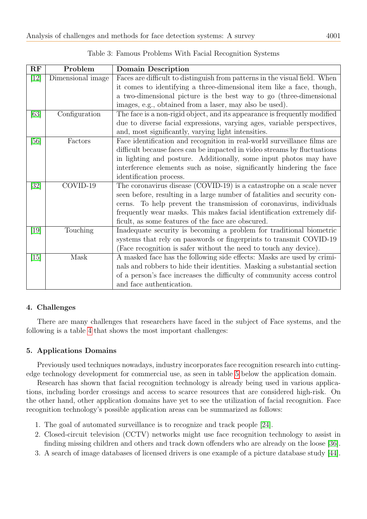<span id="page-4-0"></span>

| RF   | Problem           | <b>Domain Description</b>                                                  |
|------|-------------------|----------------------------------------------------------------------------|
| [12] | Dimensional image | Faces are difficult to distinguish from patterns in the visual field. When |
|      |                   | it comes to identifying a three-dimensional item like a face, though,      |
|      |                   | a two-dimensional picture is the best way to go (three-dimensional         |
|      |                   | images, e.g., obtained from a laser, may also be used).                    |
| [63] | Configuration     | The face is a non-rigid object, and its appearance is frequently modified  |
|      |                   | due to diverse facial expressions, varying ages, variable perspectives,    |
|      |                   | and, most significantly, varying light intensities.                        |
| [56] | Factors           | Face identification and recognition in real-world surveillance films are   |
|      |                   | difficult because faces can be impacted in video streams by fluctuations   |
|      |                   | in lighting and posture. Additionally, some input photos may have          |
|      |                   | interference elements such as noise, significantly hindering the face      |
|      |                   | identification process.                                                    |
| [32] | COVID-19          | The coronavirus disease (COVID-19) is a catastrophe on a scale never       |
|      |                   | seen before, resulting in a large number of fatalities and security con-   |
|      |                   | To help prevent the transmission of coronavirus, individuals<br>cerns.     |
|      |                   | frequently wear masks. This makes facial identification extremely dif-     |
|      |                   | ficult, as some features of the face are obscured.                         |
| [19] | Touching          | Inadequate security is becoming a problem for traditional biometric        |
|      |                   | systems that rely on passwords or fingerprints to transmit COVID-19        |
|      |                   | (Face recognition is safer without the need to touch any device).          |
| [15] | Mask              | A masked face has the following side effects: Masks are used by crimi-     |
|      |                   | nals and robbers to hide their identities. Masking a substantial section   |
|      |                   | of a person's face increases the difficulty of community access control    |
|      |                   | and face authentication.                                                   |

# 4. Challenges

There are many challenges that researchers have faced in the subject of Face systems, and the following is a table [4](#page-5-0) that shows the most important challenges:

# 5. Applications Domains

Previously used techniques nowadays, industry incorporates face recognition research into cuttingedge technology development for commercial use, as seen in table [5](#page-6-0) below the application domain.

Research has shown that facial recognition technology is already being used in various applications, including border crossings and access to scarce resources that are considered high-risk. On the other hand, other application domains have yet to see the utilization of facial recognition. Face recognition technology's possible application areas can be summarized as follows:

- 1. The goal of automated surveillance is to recognize and track people [\[24\]](#page-17-15).
- 2. Closed-circuit television (CCTV) networks might use face recognition technology to assist in finding missing children and others and track down offenders who are already on the loose [\[36\]](#page-17-16).
- 3. A search of image databases of licensed drivers is one example of a picture database study [\[44\]](#page-17-17).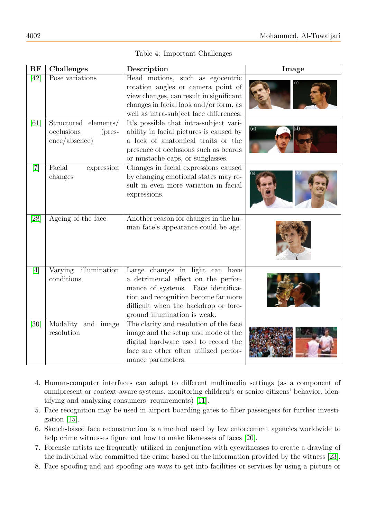| RF                | <b>Challenges</b>                                                              | Description                                                                                                                                                                                                                  | Image |
|-------------------|--------------------------------------------------------------------------------|------------------------------------------------------------------------------------------------------------------------------------------------------------------------------------------------------------------------------|-------|
| $\overline{[42]}$ | Pose variations                                                                | Head motions, such as egocentric<br>rotation angles or camera point of<br>view changes, can result in significant<br>changes in facial look and/or form, as<br>well as intra-subject face differences.                       |       |
| [61]              | Structured elements/<br>occlusions<br>$(pres-$<br>$\text{ence}/\text{absence}$ | It's possible that intra-subject vari-<br>ability in facial pictures is caused by<br>a lack of anatomical traits or the<br>presence of occlusions such as beards<br>or mustache caps, or sunglasses.                         | (c)   |
| $\left[ 7\right]$ | Facial<br>expression<br>changes                                                | Changes in facial expressions caused<br>by changing emotional states may re-<br>sult in even more variation in facial<br>expressions.                                                                                        |       |
| $\overline{[28]}$ | Ageing of the face                                                             | Another reason for changes in the hu-<br>man face's appearance could be age.                                                                                                                                                 |       |
| [4]               | illumination<br>Varying<br>conditions                                          | Large changes in light can have<br>a detrimental effect on the perfor-<br>mance of systems. Face identifica-<br>tion and recognition become far more<br>difficult when the backdrop or fore-<br>ground illumination is weak. |       |
| [30]              | Modality and image<br>resolution                                               | The clarity and resolution of the face<br>image and the setup and mode of the<br>digital hardware used to record the<br>face are other often utilized perfor-<br>mance parameters.                                           |       |

| Table 4: Important Challenges |  |
|-------------------------------|--|
|                               |  |

- <span id="page-5-0"></span>4. Human-computer interfaces can adapt to different multimedia settings (as a component of omnipresent or context-aware systems, monitoring children's or senior citizens' behavior, identifying and analyzing consumers' requirements) [\[11\]](#page-16-7).
- 5. Face recognition may be used in airport boarding gates to filter passengers for further investigation [\[15\]](#page-16-4).
- 6. Sketch-based face reconstruction is a method used by law enforcement agencies worldwide to help crime witnesses figure out how to make likenesses of faces [\[20\]](#page-17-19).
- 7. Forensic artists are frequently utilized in conjunction with eyewitnesses to create a drawing of the individual who committed the crime based on the information provided by the witness [\[23\]](#page-17-20).
- 8. Face spoofing and ant spoofing are ways to get into facilities or services by using a picture or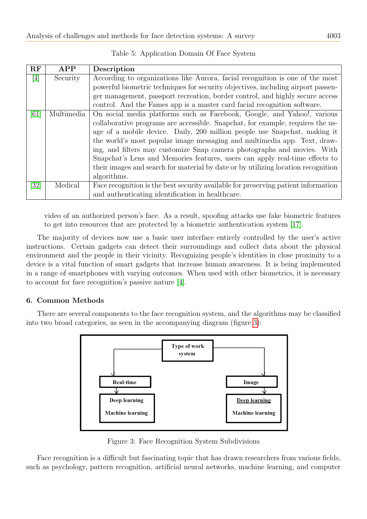<span id="page-6-0"></span>

| <b>RF</b> | APP        | Description                                                                        |
|-----------|------------|------------------------------------------------------------------------------------|
| [4]       | Security   | According to organizations like Aurora, facial recognition is one of the most      |
|           |            | powerful biometric techniques for security objectives, including airport passen-   |
|           |            | ger management, passport recreation, border control, and highly secure access      |
|           |            | control. And the Fames app is a master card facial recognition software.           |
| [61]      | Multimedia | On social media platforms such as Facebook, Google, and Yahoo!, various            |
|           |            | collaborative programs are accessible. Snapchat, for example, requires the us-     |
|           |            | age of a mobile device. Daily, 200 million people use Snapchat, making it          |
|           |            | the world's most popular image messaging and multimedia app. Text, draw-           |
|           |            | ing, and filters may customize Snap camera photographs and movies. With            |
|           |            | Snapchat's Lens and Memories features, users can apply real-time effects to        |
|           |            | their images and search for material by date or by utilizing location recognition  |
|           |            | algorithms.                                                                        |
| [32]      | Medical    | Face recognition is the best security available for preserving patient information |
|           |            | and authenticating identification in healthcare.                                   |

Table 5: Application Domain Of Face System

video of an authorized person's face. As a result, spoofing attacks use fake biometric features to get into resources that are protected by a biometric authentication system [\[17\]](#page-16-8).

The majority of devices now use a basic user interface entirely controlled by the user's active instructions. Certain gadgets can detect their surroundings and collect data about the physical environment and the people in their vicinity. Recognizing people's identities in close proximity to a device is a vital function of smart gadgets that increase human awareness. It is being implemented in a range of smartphones with varying outcomes. When used with other biometrics, it is necessary to account for face recognition's passive nature [\[4\]](#page-16-6).

## 6. Common Methods

<span id="page-6-1"></span>There are several components to the face recognition system, and the algorithms may be classified into two broad categories, as seen in the accompanying diagram (figure [3\)](#page-6-1):



Figure 3: Face Recognition System Subdivisions

Face recognition is a difficult but fascinating topic that has drawn researchers from various fields, such as psychology, pattern recognition, artificial neural networks, machine learning, and computer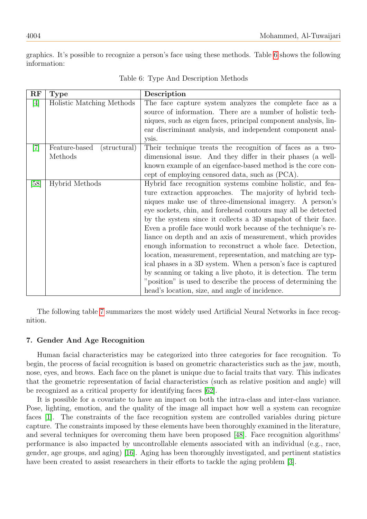<span id="page-7-0"></span>graphics. It's possible to recognize a person's face using these methods. Table [6](#page-7-0) shows the following information:

| RF    | <b>Type</b>                              | Description                                                                                                                                                                                                                                                                                                                                                                                                                                                                                                                                                                                                                                                                                                                                                                                                                         |
|-------|------------------------------------------|-------------------------------------------------------------------------------------------------------------------------------------------------------------------------------------------------------------------------------------------------------------------------------------------------------------------------------------------------------------------------------------------------------------------------------------------------------------------------------------------------------------------------------------------------------------------------------------------------------------------------------------------------------------------------------------------------------------------------------------------------------------------------------------------------------------------------------------|
| $[4]$ | Holistic Matching Methods                | The face capture system analyzes the complete face as a<br>source of information. There are a number of holistic tech-<br>niques, such as eigen faces, principal component analysis, lin-                                                                                                                                                                                                                                                                                                                                                                                                                                                                                                                                                                                                                                           |
|       |                                          | ear discriminant analysis, and independent component anal-<br>ysis.                                                                                                                                                                                                                                                                                                                                                                                                                                                                                                                                                                                                                                                                                                                                                                 |
| $[7]$ | Feature-based<br>(structural)<br>Methods | Their technique treats the recognition of faces as a two-<br>dimensional issue. And they differ in their phases (a well-<br>known example of an eigenface-based method is the core con-<br>cept of employing censored data, such as (PCA).                                                                                                                                                                                                                                                                                                                                                                                                                                                                                                                                                                                          |
| [58]  | <b>Hybrid Methods</b>                    | Hybrid face recognition systems combine holistic, and fea-<br>ture extraction approaches. The majority of hybrid tech-<br>niques make use of three-dimensional imagery. A person's<br>eye sockets, chin, and forehead contours may all be detected<br>by the system since it collects a 3D snapshot of their face.<br>Even a profile face would work because of the technique's re-<br>liance on depth and an axis of measurement, which provides<br>enough information to reconstruct a whole face. Detection,<br>location, measurement, representation, and matching are typ-<br>ical phases in a 3D system. When a person's face is captured<br>by scanning or taking a live photo, it is detection. The term<br>"position" is used to describe the process of determining the<br>head's location, size, and angle of incidence. |

Table 6: Type And Description Methods

The following table [7](#page-8-0) summarizes the most widely used Artificial Neural Networks in face recognition.

## 7. Gender And Age Recognition

Human facial characteristics may be categorized into three categories for face recognition. To begin, the process of facial recognition is based on geometric characteristics such as the jaw, mouth, nose, eyes, and brows. Each face on the planet is unique due to facial traits that vary. This indicates that the geometric representation of facial characteristics (such as relative position and angle) will be recognized as a critical property for identifying faces [\[62\]](#page-18-11).

It is possible for a covariate to have an impact on both the intra-class and inter-class variance. Pose, lighting, emotion, and the quality of the image all impact how well a system can recognize faces [\[1\]](#page-16-9). The constraints of the face recognition system are controlled variables during picture capture. The constraints imposed by these elements have been thoroughly examined in the literature, and several techniques for overcoming them have been proposed [\[48\]](#page-18-12). Face recognition algorithms' performance is also impacted by uncontrollable elements associated with an individual (e.g., race, gender, age groups, and aging) [\[16\]](#page-16-10). Aging has been thoroughly investigated, and pertinent statistics have been created to assist researchers in their efforts to tackle the aging problem [\[3\]](#page-16-11).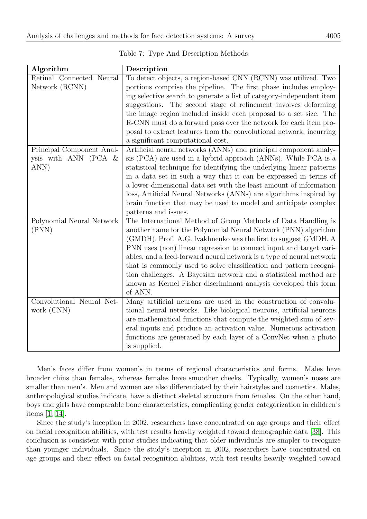<span id="page-8-0"></span>

| Algorithm                 | Description                                                          |
|---------------------------|----------------------------------------------------------------------|
| Retinal Connected Neural  | To detect objects, a region-based CNN (RCNN) was utilized. Two       |
| Network (RCNN)            | portions comprise the pipeline. The first phase includes employ-     |
|                           | ing selective search to generate a list of category-independent item |
|                           | suggestions. The second stage of refinement involves deforming       |
|                           | the image region included inside each proposal to a set size. The    |
|                           | R-CNN must do a forward pass over the network for each item pro-     |
|                           | posal to extract features from the convolutional network, incurring  |
|                           | a significant computational cost.                                    |
| Principal Component Anal- | Artificial neural networks (ANNs) and principal component analy-     |
| ysis with ANN (PCA $&$    | sis (PCA) are used in a hybrid approach (ANNs). While PCA is a       |
| ANN)                      | statistical technique for identifying the underlying linear patterns |
|                           | in a data set in such a way that it can be expressed in terms of     |
|                           | a lower-dimensional data set with the least amount of information    |
|                           | loss, Artificial Neural Networks (ANNs) are algorithms inspired by   |
|                           | brain function that may be used to model and anticipate complex      |
|                           | patterns and issues.                                                 |
| Polynomial Neural Network | The International Method of Group Methods of Data Handling is        |
| (PNN)                     | another name for the Polynomial Neural Network (PNN) algorithm       |
|                           | (GMDH). Prof. A.G. Ivakhnenko was the first to suggest GMDH. A       |
|                           | PNN uses (non) linear regression to connect input and target vari-   |
|                           | ables, and a feed-forward neural network is a type of neural network |
|                           | that is commonly used to solve classification and pattern recogni-   |
|                           | tion challenges. A Bayesian network and a statistical method are     |
|                           | known as Kernel Fisher discriminant analysis developed this form     |
|                           | of ANN.                                                              |
| Convolutional Neural Net- | Many artificial neurons are used in the construction of convolu-     |
| work (CNN)                | tional neural networks. Like biological neurons, artificial neurons  |
|                           | are mathematical functions that compute the weighted sum of sev-     |
|                           | eral inputs and produce an activation value. Numerous activation     |
|                           | functions are generated by each layer of a ConvNet when a photo      |
|                           | is supplied.                                                         |

Table 7: Type And Description Methods

Men's faces differ from women's in terms of regional characteristics and forms. Males have broader chins than females, whereas females have smoother cheeks. Typically, women's noses are smaller than men's. Men and women are also differentiated by their hairstyles and cosmetics. Males, anthropological studies indicate, have a distinct skeletal structure from females. On the other hand, boys and girls have comparable bone characteristics, complicating gender categorization in children's items [\[1,](#page-16-9) [14\]](#page-16-12).

Since the study's inception in 2002, researchers have concentrated on age groups and their effect on facial recognition abilities, with test results heavily weighted toward demographic data [\[38\]](#page-17-21). This conclusion is consistent with prior studies indicating that older individuals are simpler to recognize than younger individuals. Since the study's inception in 2002, researchers have concentrated on age groups and their effect on facial recognition abilities, with test results heavily weighted toward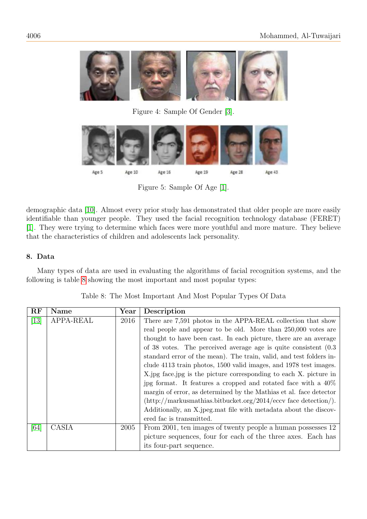

Figure 4: Sample Of Gender [\[3\]](#page-16-11).



Figure 5: Sample Of Age [\[1\]](#page-16-9).

demographic data [\[10\]](#page-16-13). Almost every prior study has demonstrated that older people are more easily identifiable than younger people. They used the facial recognition technology database (FERET) [\[1\]](#page-16-9). They were trying to determine which faces were more youthful and more mature. They believe that the characteristics of children and adolescents lack personality.

# 8. Data

Many types of data are used in evaluating the algorithms of facial recognition systems, and the following is table [8](#page-9-0) showing the most important and most popular types:

<span id="page-9-0"></span>

| RF                | <b>Name</b> | $\operatorname{Year}$ | Description                                                               |
|-------------------|-------------|-----------------------|---------------------------------------------------------------------------|
| $\left[13\right]$ | APPA-REAL   | 2016                  | There are 7,591 photos in the APPA-REAL collection that show              |
|                   |             |                       | real people and appear to be old. More than 250,000 votes are             |
|                   |             |                       | thought to have been cast. In each picture, there are an average          |
|                   |             |                       | of 38 votes. The perceived average age is quite consistent $(0.3)$        |
|                   |             |                       | standard error of the mean). The train, valid, and test folders in-       |
|                   |             |                       | clude 4113 train photos, 1500 valid images, and 1978 test images.         |
|                   |             |                       | X jpg face jpg is the picture corresponding to each X. picture in         |
|                   |             |                       | jpg format. It features a cropped and rotated face with a $40\%$          |
|                   |             |                       | margin of error, as determined by the Mathias et al. face detector        |
|                   |             |                       | $(\text{http://markusmathbias.bitbucket.org/2014/eccv face detection/}).$ |
|                   |             |                       | Additionally, an X jpeg mat file with metadata about the discov-          |
|                   |             |                       | ered fac is transmitted.                                                  |
| [64]              | CASIA       | 2005                  | From 2001, ten images of twenty people a human possesses 12               |
|                   |             |                       | picture sequences, four for each of the three axes. Each has              |
|                   |             |                       | its four-part sequence.                                                   |

Table 8: The Most Important And Most Popular Types Of Data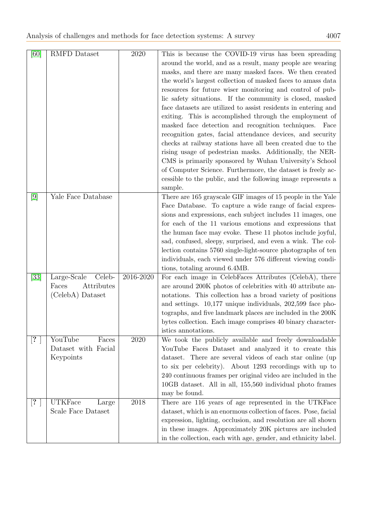| [60]  | RMFD Dataset                                                     | 2020      | This is because the COVID-19 virus has been spreading<br>around the world, and as a result, many people are wearing<br>masks, and there are many masked faces. We then created<br>the world's largest collection of masked faces to amass data<br>resources for future wiser monitoring and control of pub-<br>lic safety situations. If the community is closed, masked<br>face datasets are utilized to assist residents in entering and<br>exiting. This is accomplished through the employment of<br>masked face detection and recognition techniques.<br>Face<br>recognition gates, facial attendance devices, and security<br>checks at railway stations have all been created due to the<br>rising usage of pedestrian masks. Additionally, the NER-<br>CMS is primarily sponsored by Wuhan University's School<br>of Computer Science. Furthermore, the dataset is freely ac-<br>cessible to the public, and the following image represents a<br>sample. |
|-------|------------------------------------------------------------------|-----------|------------------------------------------------------------------------------------------------------------------------------------------------------------------------------------------------------------------------------------------------------------------------------------------------------------------------------------------------------------------------------------------------------------------------------------------------------------------------------------------------------------------------------------------------------------------------------------------------------------------------------------------------------------------------------------------------------------------------------------------------------------------------------------------------------------------------------------------------------------------------------------------------------------------------------------------------------------------|
| $[9]$ | Yale Face Database                                               |           | There are 165 grayscale GIF images of 15 people in the Yale<br>Face Database. To capture a wide range of facial expres-<br>sions and expressions, each subject includes 11 images, one<br>for each of the 11 various emotions and expressions that<br>the human face may evoke. These 11 photos include joyful,<br>sad, confused, sleepy, surprised, and even a wink. The col-<br>lection contains 5760 single-light-source photographs of ten<br>individuals, each viewed under 576 different viewing condi-<br>tions, totaling around 6.4MB.                                                                                                                                                                                                                                                                                                                                                                                                                   |
| [33]  | Celeb-<br>Large-Scale<br>Attributes<br>Faces<br>(CelebA) Dataset | 2016-2020 | For each image in CelebFaces Attributes (CelebA), there<br>are around 200K photos of celebrities with 40 attribute an-<br>notations. This collection has a broad variety of positions<br>and settings. 10,177 unique individuals, 202,599 face pho-<br>tographs, and five landmark places are included in the 200K<br>bytes collection. Each image comprises 40 binary character-<br>istics annotations.                                                                                                                                                                                                                                                                                                                                                                                                                                                                                                                                                         |
| [?]   | YouTube<br>Faces<br>Dataset with Facial<br>Keypoints             | 2020      | We took the publicly available and freely downloadable<br>YouTube Faces Dataset and analyzed it to create this<br>dataset. There are several videos of each star online (up<br>to six per celebrity). About 1293 recordings with up to<br>240 continuous frames per original video are included in the<br>10GB dataset. All in all, 155,560 individual photo frames<br>may be found.                                                                                                                                                                                                                                                                                                                                                                                                                                                                                                                                                                             |
| [?]   | <b>UTKFace</b><br>Large<br>Scale Face Dataset                    | 2018      | There are 116 years of age represented in the UTKFace<br>dataset, which is an enormous collection of faces. Pose, facial<br>expression, lighting, occlusion, and resolution are all shown<br>in these images. Approximately 20K pictures are included<br>in the collection, each with age, gender, and ethnicity label.                                                                                                                                                                                                                                                                                                                                                                                                                                                                                                                                                                                                                                          |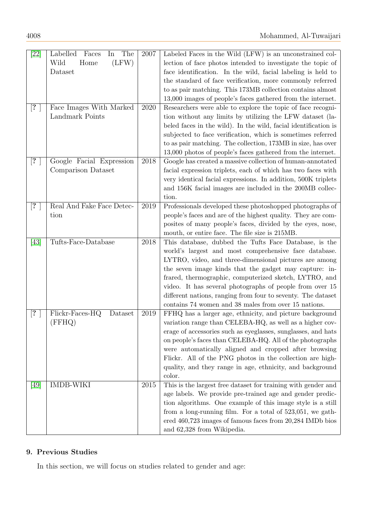| $\left[ 22\right]$ | The<br>Labelled<br>Faces<br>In | 2007 | Labeled Faces in the Wild (LFW) is an unconstrained col-       |
|--------------------|--------------------------------|------|----------------------------------------------------------------|
|                    | (LFW)<br>Wild<br>Home          |      | lection of face photos intended to investigate the topic of    |
|                    | Dataset                        |      | face identification. In the wild, facial labeling is held to   |
|                    |                                |      | the standard of face verification, more commonly referred      |
|                    |                                |      | to as pair matching. This 173MB collection contains almost     |
|                    |                                |      | 13,000 images of people's faces gathered from the internet.    |
| [?]                | Face Images With Marked        | 2020 | Researchers were able to explore the topic of face recogni-    |
|                    | Landmark Points                |      | tion without any limits by utilizing the LFW dataset (la-      |
|                    |                                |      | beled faces in the wild. In the wild, facial identification is |
|                    |                                |      | subjected to face verification, which is sometimes referred    |
|                    |                                |      | to as pair matching. The collection, 173MB in size, has over   |
|                    |                                |      | 13,000 photos of people's faces gathered from the internet.    |
| $[?\ ]$            | Google Facial Expression       | 2018 | Google has created a massive collection of human-annotated     |
|                    | Comparison Dataset             |      | facial expression triplets, each of which has two faces with   |
|                    |                                |      | very identical facial expressions. In addition, 500K triplets  |
|                    |                                |      | and 156K facial images are included in the 200MB collec-       |
|                    |                                |      | tion.                                                          |
| $[? \]$            | Real And Fake Face Detec-      | 2019 | Professionals developed these photoshopped photographs of      |
|                    | tion                           |      | people's faces and are of the highest quality. They are com-   |
|                    |                                |      | posites of many people's faces, divided by the eyes, nose,     |
|                    |                                |      | mouth, or entire face. The file size is 215MB.                 |
| [43]               | Tufts-Face-Database            | 2018 | This database, dubbed the Tufts Face Database, is the          |
|                    |                                |      | world's largest and most comprehensive face database.          |
|                    |                                |      | LYTRO, video, and three-dimensional pictures are among         |
|                    |                                |      | the seven image kinds that the gadget may capture: in-         |
|                    |                                |      | frared, thermographic, computerized sketch, LYTRO, and         |
|                    |                                |      | video. It has several photographs of people from over 15       |
|                    |                                |      | different nations, ranging from four to seventy. The dataset   |
|                    |                                |      | contains 74 women and 38 males from over 15 nations.           |
| $[?\ ]$            | Flickr-Faces-HQ<br>Dataset     | 2019 | FFHQ has a larger age, ethnicity, and picture background       |
|                    | (FFHQ)                         |      | variation range than CELEBA-HQ, as well as a higher cov-       |
|                    |                                |      | erage of accessories such as eyeglasses, sunglasses, and hats  |
|                    |                                |      | on people's faces than CELEBA-HQ. All of the photographs       |
|                    |                                |      | were automatically aligned and cropped after browsing          |
|                    |                                |      | Flickr. All of the PNG photos in the collection are high-      |
|                    |                                |      | quality, and they range in age, ethnicity, and background      |
|                    |                                |      | color.                                                         |
| $[49]$             | <b>IMDB-WIKI</b>               | 2015 | This is the largest free dataset for training with gender and  |
|                    |                                |      | age labels. We provide pre-trained age and gender predic-      |
|                    |                                |      | tion algorithms. One example of this image style is a still    |
|                    |                                |      | from a long-running film. For a total of $523,051$ , we gath-  |
|                    |                                |      | ered 460,723 images of famous faces from 20,284 IMDb bios      |
|                    |                                |      | and 62,328 from Wikipedia.                                     |

# 9. Previous Studies

In this section, we will focus on studies related to gender and age: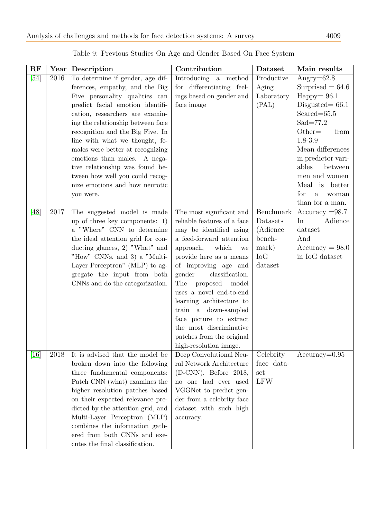| RF   | Year     | Description                                                        | Contribution                                         | Dataset    | Main results                           |
|------|----------|--------------------------------------------------------------------|------------------------------------------------------|------------|----------------------------------------|
| [54] | 2016     | To determine if gender, age dif-                                   | Introducing a method                                 | Productive | Angry= $62.8$                          |
|      |          | ferences, empathy, and the Big                                     | for differentiating feel-                            | Aging      | Surprised $= 64.6$                     |
|      |          | Five personality qualities can                                     | ings based on gender and                             | Laboratory | $Happy = 96.1$                         |
|      |          | predict facial emotion identifi-                                   | face image                                           | (PAL)      | Disgusted $= 66.1$                     |
|      |          | cation, researchers are examin-                                    |                                                      |            | $Scared = 65.5$                        |
|      |          | ing the relationship between face                                  |                                                      |            | $Sad=77.2$                             |
|      |          | recognition and the Big Five. In                                   |                                                      |            | $Other =$<br>from                      |
|      |          | line with what we thought, fe-                                     |                                                      |            | 1.8-3.9                                |
|      |          | males were better at recognizing                                   |                                                      |            | Mean differences                       |
|      |          | emotions than males. A nega-                                       |                                                      |            | in predictor vari-<br>ables<br>between |
|      |          | tive relationship was found be-<br>tween how well you could recog- |                                                      |            | men and women                          |
|      |          | nize emotions and how neurotic                                     |                                                      |            | Meal is better                         |
|      |          | you were.                                                          |                                                      |            | for<br>$\rm{a}$<br>woman               |
|      |          |                                                                    |                                                      |            | than for a man.                        |
| [48] | 2017     | The suggested model is made                                        | The most significant and                             | Benchmark  | $Accuracy = 98.7$                      |
|      |          | up of three key components: $1)$                                   | reliable features of a face                          | Datasets   | In<br>Adience                          |
|      |          | a "Where" CNN to determine                                         | may be identified using                              | (Adience   | dataset                                |
|      |          | the ideal attention grid for con-                                  | a feed-forward attention                             | bench-     | And                                    |
|      |          | ducting glances, 2) "What" and                                     | which<br>approach,<br>we                             | mark)      | $Accuracy = 98.0$                      |
|      |          | "How" CNNs, and 3) a "Multi-                                       | provide here as a means                              | IoG        | in IoG dataset                         |
|      |          | Layer Perceptron" (MLP) to ag-                                     | of improving age and                                 | dataset    |                                        |
|      |          | gregate the input from both                                        | classification.<br>gender                            |            |                                        |
|      |          | CNNs and do the categorization.                                    | The<br>proposed<br>model                             |            |                                        |
|      |          |                                                                    | uses a novel end-to-end                              |            |                                        |
|      |          |                                                                    | learning architecture to                             |            |                                        |
|      |          |                                                                    | train a down-sampled                                 |            |                                        |
|      |          |                                                                    | face picture to extract                              |            |                                        |
|      |          |                                                                    | the most discriminative<br>patches from the original |            |                                        |
|      |          |                                                                    | high-resolution image.                               |            |                                        |
| [16] | $2018\,$ | It is advised that the model be                                    | Deep Convolutional Neu-                              | Celebrity  | $Accuracy=0.95$                        |
|      |          | broken down into the following                                     | ral Network Architecture                             | face data- |                                        |
|      |          | three fundamental components:                                      | $(D-CNN)$ . Before 2018,                             | set        |                                        |
|      |          | Patch CNN (what) examines the                                      | no one had ever used                                 | <b>LFW</b> |                                        |
|      |          | higher resolution patches based                                    | VGGNet to predict gen-                               |            |                                        |
|      |          | on their expected relevance pre-                                   | der from a celebrity face                            |            |                                        |
|      |          | dicted by the attention grid, and                                  | dataset with such high                               |            |                                        |
|      |          | Multi-Layer Perceptron (MLP)                                       | accuracy.                                            |            |                                        |
|      |          | combines the information gath-                                     |                                                      |            |                                        |
|      |          | ered from both CNNs and exe-                                       |                                                      |            |                                        |
|      |          | cutes the final classification.                                    |                                                      |            |                                        |

Table 9: Previous Studies On Age and Gender-Based On Face System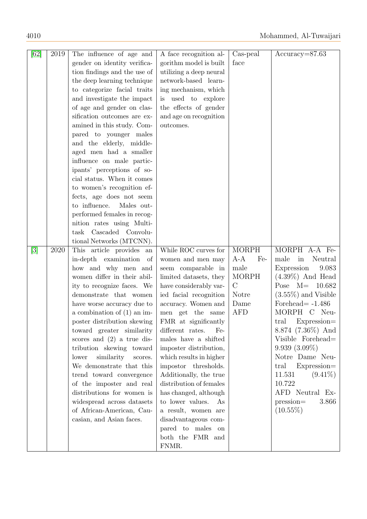| [62]  | 2019 | The influence of age and            | A face recognition al-  | Cas-peal     | $Accuracy = 87.63$     |
|-------|------|-------------------------------------|-------------------------|--------------|------------------------|
|       |      | gender on identity verifica-        | gorithm model is built  | face         |                        |
|       |      | tion findings and the use of        | utilizing a deep neural |              |                        |
|       |      | the deep learning technique         | network-based learn-    |              |                        |
|       |      | to categorize facial traits         | ing mechanism, which    |              |                        |
|       |      | and investigate the impact          | is used to explore      |              |                        |
|       |      | of age and gender on clas-          | the effects of gender   |              |                        |
|       |      | sification outcomes are ex-         | and age on recognition  |              |                        |
|       |      | amined in this study. Com-          | outcomes.               |              |                        |
|       |      | pared to younger males              |                         |              |                        |
|       |      | and the elderly, middle-            |                         |              |                        |
|       |      | aged men had a smaller              |                         |              |                        |
|       |      | influence on male partic-           |                         |              |                        |
|       |      | ipants' perceptions of so-          |                         |              |                        |
|       |      | cial status. When it comes          |                         |              |                        |
|       |      | to women's recognition ef-          |                         |              |                        |
|       |      | fects, age does not seem            |                         |              |                        |
|       |      | to influence.<br>Males out-         |                         |              |                        |
|       |      | performed females in recog-         |                         |              |                        |
|       |      | nition rates using Multi-           |                         |              |                        |
|       |      | task Cascaded Convolu-              |                         |              |                        |
|       |      | tional Networks (MTCNN).            |                         |              |                        |
| $[3]$ | 2020 | This article provides<br>${\rm an}$ | While ROC curves for    | <b>MORPH</b> | MORPH A-A Fe-          |
|       |      | in-depth examination<br>of          | women and men may       | $A-A$<br>Fe- | in<br>Neutral<br>male  |
|       |      | how and why men and                 | seem comparable in      | male         | Expression<br>9.083    |
|       |      | women differ in their abil-         | limited datasets, they  | <b>MORPH</b> | $(4.39\%)$ And Head    |
|       |      | ity to recognize faces. We          | have considerably var-  | $\rm C$      | Pose $M=$<br>10.682    |
|       |      | demonstrate that women              | ied facial recognition  | Notre        | $(3.55\%)$ and Visible |
|       |      | have worse accuracy due to          | accuracy. Women and     | Dame         | Forehead $= -1.486$    |
|       |      | a combination of $(1)$ an im-       | men get the same        | <b>AFD</b>   | MORPH C Neu-           |
|       |      | poster distribution skewing         | FMR at significantly    |              | Expression=<br>tral    |
|       |      | toward greater similarity           | different rates.<br>Fe- |              | $8.874$ (7.36%) And    |
|       |      | scores and $(2)$ a true dis-        | males have a shifted    |              | Visible Forehead=      |
|       |      | tribution skewing toward            | imposter distribution,  |              | $9.939(3.09\%)$        |
|       |      | lower<br>similarity scores.         | which results in higher |              | Notre Dame Neu-        |
|       |      | We demonstrate that this            | impostor thresholds.    |              | Expression=<br>tral    |
|       |      | trend toward convergence            | Additionally, the true  |              | 11.531<br>$(9.41\%)$   |
|       |      | of the imposter and real            | distribution of females |              | 10.722                 |
|       |      | distributions for women is          | has changed, although   |              | AFD Neutral Ex-        |
|       |      | widespread across datasets          | to lower values.<br>As  |              | pression=<br>3.866     |
|       |      | of African-American, Cau-           | a result, women are     |              | $(10.55\%)$            |
|       |      | casian, and Asian faces.            | disadvantageous com-    |              |                        |
|       |      |                                     | pared to males on       |              |                        |
|       |      |                                     | both the FMR and        |              |                        |
|       |      |                                     | FNMR.                   |              |                        |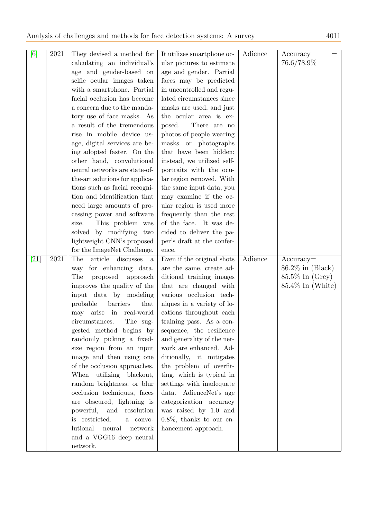| $[6] % \includegraphics[width=0.9\columnwidth]{figures/fig_0.pdf} \caption{A small number of samples of the estimators in the left panel. The blue line shows the number of samples of the two different times, and the blue line shows the number of samples of the two different times, respectively.} \label{fig:2}$ | 2021 | They devised a method for                | It utilizes smartphone oc-  | Adience | Accuracy<br>$=$     |
|-------------------------------------------------------------------------------------------------------------------------------------------------------------------------------------------------------------------------------------------------------------------------------------------------------------------------|------|------------------------------------------|-----------------------------|---------|---------------------|
|                                                                                                                                                                                                                                                                                                                         |      | calculating an individual's              | ular pictures to estimate   |         | 76.6/78.9%          |
|                                                                                                                                                                                                                                                                                                                         |      | age and gender-based on                  | age and gender. Partial     |         |                     |
|                                                                                                                                                                                                                                                                                                                         |      | selfie ocular images taken               | faces may be predicted      |         |                     |
|                                                                                                                                                                                                                                                                                                                         |      | with a smartphone. Partial               | in uncontrolled and regu-   |         |                     |
|                                                                                                                                                                                                                                                                                                                         |      | facial occlusion has become              | lated circumstances since   |         |                     |
|                                                                                                                                                                                                                                                                                                                         |      | a concern due to the manda-              | masks are used, and just    |         |                     |
|                                                                                                                                                                                                                                                                                                                         |      | tory use of face masks. As               | the ocular area is ex-      |         |                     |
|                                                                                                                                                                                                                                                                                                                         |      | a result of the tremendous               | posed.<br>There are no      |         |                     |
|                                                                                                                                                                                                                                                                                                                         |      | rise in mobile device us-                | photos of people wearing    |         |                     |
|                                                                                                                                                                                                                                                                                                                         |      | age, digital services are be-            | masks or photographs        |         |                     |
|                                                                                                                                                                                                                                                                                                                         |      | ing adopted faster. On the               | that have been hidden;      |         |                     |
|                                                                                                                                                                                                                                                                                                                         |      | other hand, convolutional                | instead, we utilized self-  |         |                     |
|                                                                                                                                                                                                                                                                                                                         |      | neural networks are state-of-            | portraits with the ocu-     |         |                     |
|                                                                                                                                                                                                                                                                                                                         |      | the-art solutions for applica-           | lar region removed. With    |         |                     |
|                                                                                                                                                                                                                                                                                                                         |      | tions such as facial recogni-            | the same input data, you    |         |                     |
|                                                                                                                                                                                                                                                                                                                         |      | tion and identification that             | may examine if the oc-      |         |                     |
|                                                                                                                                                                                                                                                                                                                         |      |                                          |                             |         |                     |
|                                                                                                                                                                                                                                                                                                                         |      | need large amounts of pro-               | ular region is used more    |         |                     |
|                                                                                                                                                                                                                                                                                                                         |      | cessing power and software               | frequently than the rest    |         |                     |
|                                                                                                                                                                                                                                                                                                                         |      | This problem was<br>size.                | of the face. It was de-     |         |                     |
|                                                                                                                                                                                                                                                                                                                         |      | solved by modifying two                  | cided to deliver the pa-    |         |                     |
|                                                                                                                                                                                                                                                                                                                         |      | lightweight CNN's proposed               | per's draft at the confer-  |         |                     |
|                                                                                                                                                                                                                                                                                                                         |      | for the ImageNet Challenge.              | ence.                       |         |                     |
| [21]                                                                                                                                                                                                                                                                                                                    | 2021 | The<br>article<br>discusses<br>a         | Even if the original shots  | Adience | $Accuracy=$         |
|                                                                                                                                                                                                                                                                                                                         |      | for enhancing data.<br>way               | are the same, create ad-    |         | $86.2\%$ in (Black) |
|                                                                                                                                                                                                                                                                                                                         |      | The<br>proposed<br>approach              | ditional training images    |         | $85.5\%$ In (Grey)  |
|                                                                                                                                                                                                                                                                                                                         |      | improves the quality of the              | that are changed with       |         | $85.4\%$ In (White) |
|                                                                                                                                                                                                                                                                                                                         |      | input data by modeling                   | various occlusion tech-     |         |                     |
|                                                                                                                                                                                                                                                                                                                         |      | barriers<br>probable<br>that             | niques in a variety of lo-  |         |                     |
|                                                                                                                                                                                                                                                                                                                         |      | $\cdot$ in<br>arise<br>real-world<br>may | cations throughout each     |         |                     |
|                                                                                                                                                                                                                                                                                                                         |      | The sug-<br>circumstances.               | training pass. As a con-    |         |                     |
|                                                                                                                                                                                                                                                                                                                         |      | gested method begins by                  | sequence, the resilience    |         |                     |
|                                                                                                                                                                                                                                                                                                                         |      | randomly picking a fixed-                | and generality of the net-  |         |                     |
|                                                                                                                                                                                                                                                                                                                         |      | size region from an input                | work are enhanced. Ad-      |         |                     |
|                                                                                                                                                                                                                                                                                                                         |      | image and then using one                 | ditionally, it mitigates    |         |                     |
|                                                                                                                                                                                                                                                                                                                         |      | of the occlusion approaches.             | the problem of overfit-     |         |                     |
|                                                                                                                                                                                                                                                                                                                         |      | When utilizing blackout,                 | ting, which is typical in   |         |                     |
|                                                                                                                                                                                                                                                                                                                         |      | random brightness, or blur               | settings with inadequate    |         |                     |
|                                                                                                                                                                                                                                                                                                                         |      | occlusion techniques, faces              | data. AdienceNet's age      |         |                     |
|                                                                                                                                                                                                                                                                                                                         |      | are obscured, lightning is               | categorization accuracy     |         |                     |
|                                                                                                                                                                                                                                                                                                                         |      | powerful, and resolution                 | was raised by 1.0 and       |         |                     |
|                                                                                                                                                                                                                                                                                                                         |      | is restricted.<br>a convo-               | $0.8\%$ , thanks to our en- |         |                     |
|                                                                                                                                                                                                                                                                                                                         |      | lutional<br>neural<br>network            | hancement approach.         |         |                     |
|                                                                                                                                                                                                                                                                                                                         |      | and a VGG16 deep neural                  |                             |         |                     |
|                                                                                                                                                                                                                                                                                                                         |      | network.                                 |                             |         |                     |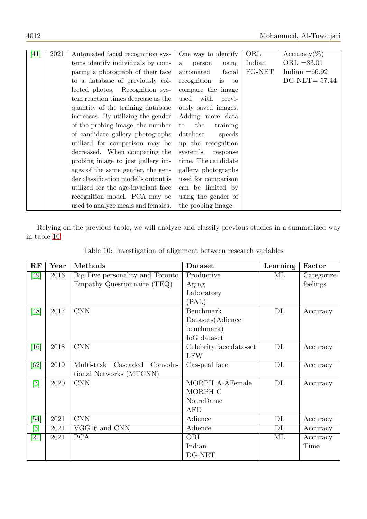| [41] | 2021 | Automated facial recognition sys-    | One way to identify             | ORL    | $Accuracy(\%)$   |
|------|------|--------------------------------------|---------------------------------|--------|------------------|
|      |      | tems identify individuals by com-    | using<br>person<br>$\mathbf{a}$ | Indian | $ORL = 83.01$    |
|      |      | paring a photograph of their face    | facial<br>automated             | FG-NET | Indian $=66.92$  |
|      |      | to a database of previously col-     | recognition<br>is to            |        | $DG-NET = 57.44$ |
|      |      | lected photos. Recognition sys-      | compare the image               |        |                  |
|      |      | tem reaction times decrease as the   | used<br>with<br>previ-          |        |                  |
|      |      | quantity of the training database    | ously saved images.             |        |                  |
|      |      | increases. By utilizing the gender   | Adding more data                |        |                  |
|      |      | of the probing image, the number     | the<br>training<br>to           |        |                  |
|      |      | of candidate gallery photographs     | database<br>speeds              |        |                  |
|      |      | utilized for comparison may be       | up the recognition              |        |                  |
|      |      | decreased. When comparing the        | system's<br>response            |        |                  |
|      |      | probing image to just gallery im-    | time. The candidate             |        |                  |
|      |      | ages of the same gender, the gen-    | gallery photographs             |        |                  |
|      |      | der classification model's output is | used for comparison             |        |                  |
|      |      | utilized for the age-invariant face  | can be limited by               |        |                  |
|      |      | recognition model. PCA may be        | using the gender of             |        |                  |
|      |      | used to analyze meals and females.   | the probing image.              |        |                  |

<span id="page-15-0"></span>Relying on the previous table, we will analyze and classify previous studies in a summarized way in table [10:](#page-15-0)

| RF                                                                                                                                                                                                                                                                                                                      | Year | Methods                            | Dataset                 | Learning | Factor     |
|-------------------------------------------------------------------------------------------------------------------------------------------------------------------------------------------------------------------------------------------------------------------------------------------------------------------------|------|------------------------------------|-------------------------|----------|------------|
| [49]                                                                                                                                                                                                                                                                                                                    | 2016 | Big Five personality and Toronto   | Productive              | МL       | Categorize |
|                                                                                                                                                                                                                                                                                                                         |      | Empathy Questionnaire (TEQ)        | Aging                   |          | feelings   |
|                                                                                                                                                                                                                                                                                                                         |      |                                    | Laboratory              |          |            |
|                                                                                                                                                                                                                                                                                                                         |      |                                    | (PAL)                   |          |            |
| [48]                                                                                                                                                                                                                                                                                                                    | 2017 | <b>CNN</b>                         | <b>Benchmark</b>        | DL       | Accuracy   |
|                                                                                                                                                                                                                                                                                                                         |      |                                    | Datasets (Adience       |          |            |
|                                                                                                                                                                                                                                                                                                                         |      |                                    | benchmark)              |          |            |
|                                                                                                                                                                                                                                                                                                                         |      |                                    | IoG dataset             |          |            |
| [16]                                                                                                                                                                                                                                                                                                                    | 2018 | <b>CNN</b>                         | Celebrity face data-set | DL       | Accuracy   |
|                                                                                                                                                                                                                                                                                                                         |      |                                    | <b>LFW</b>              |          |            |
| [62]                                                                                                                                                                                                                                                                                                                    | 2019 | Multi-task<br>Cascaded<br>Convolu- | Cas-peal face           | DL       | Accuracy   |
|                                                                                                                                                                                                                                                                                                                         |      | tional Networks (MTCNN)            |                         |          |            |
| $\left[3\right]$                                                                                                                                                                                                                                                                                                        | 2020 | <b>CNN</b>                         | <b>MORPH A-AFemale</b>  | DL       | Accuracy   |
|                                                                                                                                                                                                                                                                                                                         |      |                                    | MORPH C                 |          |            |
|                                                                                                                                                                                                                                                                                                                         |      |                                    | NotreDame               |          |            |
|                                                                                                                                                                                                                                                                                                                         |      |                                    | AFD                     |          |            |
| [54]                                                                                                                                                                                                                                                                                                                    | 2021 | <b>CNN</b>                         | Adience                 | $\rm DL$ | Accuracy   |
| $[6] % \includegraphics[width=0.9\columnwidth]{figures/fig_0.pdf} \caption{A small number of samples of the estimators in the left panel. The blue line shows the number of samples of the two different times, and the blue line shows the number of samples of the two different times, respectively.} \label{fig:2}$ | 2021 | VGG16 and CNN                      | Adience                 | $\rm DL$ | Accuracy   |
| [21]                                                                                                                                                                                                                                                                                                                    | 2021 | <b>PCA</b>                         | ORL                     | МL       | Accuracy   |
|                                                                                                                                                                                                                                                                                                                         |      |                                    | Indian                  |          | Time       |
|                                                                                                                                                                                                                                                                                                                         |      |                                    | DG-NET                  |          |            |

|  | Table 10: Investigation of alignment between research variables |  |  |
|--|-----------------------------------------------------------------|--|--|
|  |                                                                 |  |  |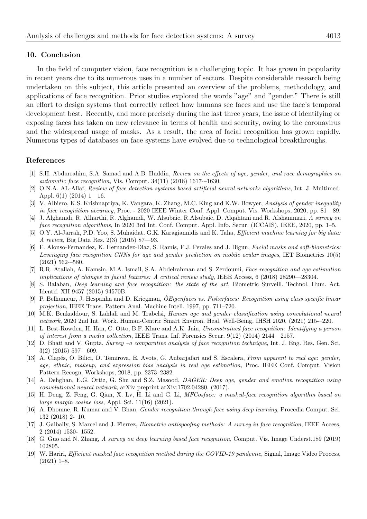#### 10. Conclusion

In the field of computer vision, face recognition is a challenging topic. It has grown in popularity in recent years due to its numerous uses in a number of sectors. Despite considerable research being undertaken on this subject, this article presented an overview of the problems, methodology, and applications of face recognition. Prior studies explored the words "age" and "gender." There is still an effort to design systems that correctly reflect how humans see faces and use the face's temporal development best. Recently, and more precisely during the last three years, the issue of identifying or exposing faces has taken on new relevance in terms of health and security, owing to the coronavirus and the widespread usage of masks. As a result, the area of facial recognition has grown rapidly. Numerous types of databases on face systems have evolved due to technological breakthroughs.

#### References

- <span id="page-16-9"></span>[1] S.H. Abdurrahim, S.A. Samad and A.B. Huddin, Review on the effects of age, gender, and race demographics on automatic face recognition, Vis. Comput. 34(11) (2018) 1617-–1630.
- [2] O.N.A. AL-Allaf, Review of face detection systems based artificial neural networks algorithms, Int. J. Multimed. Appl.  $6(1)$  (2014) 1—16.
- <span id="page-16-11"></span>[3] V. Albiero, K.S. Krishnapriya, K. Vangara, K. Zhang, M.C. King and K.W. Bowyer, Analysis of gender inequality in face recognition accuracy, Proc. - 2020 IEEE Winter Conf. Appl. Comput. Vis. Workshops, 2020, pp. 81—89.
- <span id="page-16-6"></span>[4] J. Alghamdi, R. Alharthi, R. Alghamdi, W. Alsubaie, R.Alsubaie, D. Alqahtani and R. Alshammari, A survey on face recognition algorithms, In 2020 3rd Int. Conf. Comput. Appl. Info. Secur. (ICCAIS), IEEE, 2020, pp. 1–5.
- <span id="page-16-1"></span>[5] O.Y. Al-Jarrah, P.D. Yoo, S. Muhaidat, G.K. Karagiannidis and K. Taha, *Efficient machine learning for big data*: A review, Big Data Res. 2(3) (2015) 87—93.
- <span id="page-16-16"></span>[6] F. Alonso-Fernandez, K. Hernandez-Diaz, S. Ramis, F.J. Perales and J. Bigun, Facial masks and soft-biometrics: Leveraging face recognition CNNs for age and gender prediction on mobile ocular images, IET Biometrics 10(5) (2021) 562-–580.
- <span id="page-16-5"></span>[7] R.R. Atallah, A. Kamsin, M.A. Ismail, S.A. Abdelrahman and S. Zerdoumi, Face recognition and age estimation implications of changes in facial features: A critical review study, IEEE Access, 6 (2018) 28290—28304.
- [8] S. Balaban, *Deep learning and face recognition: the state of the art*, Biometric Surveill. Technol. Hum. Act. Identif. XII 9457 (2015) 94570B.
- <span id="page-16-15"></span>[9] P. Belhumeur, J. Hespanha and D. Kriegman,  $\tilde{O}$ Eigenfaces vs. Fisherfaces: Recognition using class specific linear projection, IEEE Trans. Pattern Anal. Machine Intell. 1997, pp. 711–720.
- <span id="page-16-13"></span>[10] M.K. Benkaddour, S. Lahlali and M. Trabelsi, Human age and gender classification using convolutional neural network, 2020 2nd Int. Work. Human-Centric Smart Environ. Heal. Well-Being, IHSH 2020, (2021) 215-–220.
- <span id="page-16-7"></span>[11] L. Best-Rowden, H. Han, C. Otto, B.F. Klare and A.K. Jain, Unconstrained face recognition: Identifying a person of interest from a media collection, IEEE Trans. Inf. Forensics Secur. 9(12) (2014) 2144—2157.
- <span id="page-16-2"></span>[12] D. Bhati and V. Gupta, Survey –a comparative analysis of face recognition technique, Int. J. Eng. Res. Gen. Sci. 3(2) (2015) 597—609.
- <span id="page-16-14"></span>[13] A. Clapés, O. Bilici, D. Temirova, E. Avots, G. Anbarjafari and S. Escalera, From apparent to real age: gender, age, ethnic, makeup, and expression bias analysis in real age estimation, Proc. IEEE Conf. Comput. Vision Pattern Recogn. Workshops, 2018, pp. 2373–2382.
- <span id="page-16-12"></span>[14] A. Dehghan, E.G. Ortiz, G. Shu and S.Z. Masood, *DAGER: Deep age, gender and emotion recognition using* convolutional neural network, arXiv preprint arXiv:1702.04280, (2017).
- <span id="page-16-4"></span>[15] H. Deng, Z. Feng, G. Qian, X. Lv, H. Li and G. Li, MFCosface: a masked-face recognition algorithm based on large margin cosine loss, Appl. Sci. 11(16) (2021).
- <span id="page-16-10"></span>[16] A. Dhomne, R. Kumar and V. Bhan, Gender recognition through face using deep learning, Procedia Comput. Sci. 132 (2018) 2-–10.
- <span id="page-16-8"></span>[17] J. Galbally, S. Marcel and J. Fierrez, Biometric antispoofing methods: A survey in face recognition, IEEE Access, 2 (2014) 1530-–1552.
- <span id="page-16-0"></span>[18] G. Guo and N. Zhang, A survey on deep learning based face recognition, Comput. Vis. Image Underst.189 (2019) 102805.
- <span id="page-16-3"></span>[19] W. Hariri, Efficient masked face recognition method during the COVID-19 pandemic, Signal, Image Video Process, (2021) 1–8.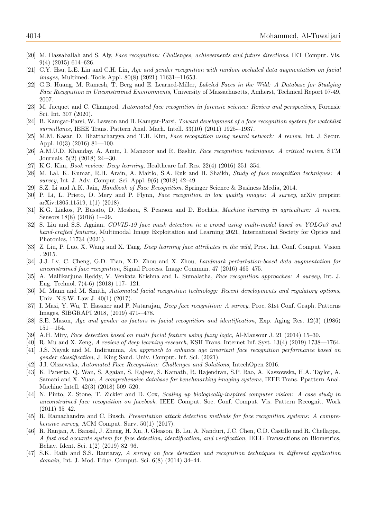- <span id="page-17-19"></span>[20] M. Hassaballah and S. Aly, Face recognition: Challenges, achievements and future directions, IET Comput. Vis. 9(4) (2015) 614–626.
- <span id="page-17-25"></span>[21] C.Y. Hsu, L.E. Lin and C.H. Lin, Age and gender recognition with random occluded data augmentation on facial images, Multimed. Tools Appl. 80(8) (2021) 11631-–11653.
- <span id="page-17-23"></span>[22] G.B. Huang, M. Ramesh, T. Berg and E. Learned-Miller, Labeled Faces in the Wild: A Database for Studying Face Recognition in Unconstrained Environments, University of Massachusetts, Amherst, Technical Report 07-49, 2007.
- <span id="page-17-20"></span>[23] M. Jacquet and C. Champod, Automated face recognition in forensic science: Review and perspectives, Forensic Sci. Int. 307 (2020).
- <span id="page-17-15"></span>[24] B. Kamgar-Parsi, W. Lawson and B. Kamgar-Parsi, Toward development of a face recognition system for watchlist surveillance, IEEE Trans. Pattern Anal. Mach. Intell. 33(10) (2011) 1925-–1937.
- [25] M.M. Kasar, D. Bhattacharyya and T.H. Kim, Face recognition using neural network: A review, Int. J. Secur. Appl. 10(3) (2016) 81—100.
- <span id="page-17-9"></span>[26] A.M.U.D. Khanday, A. Amin, I. Manzoor and R. Bashir, Face recognition techniques: A critical review, STM Journals, 5(2) (2018) 24-–30.
- <span id="page-17-11"></span>[27] K.G. Kim, Book review: Deep learning, Healthcare Inf. Res. 22(4) (2016) 351–354.
- <span id="page-17-1"></span>[28] M. Lal, K. Kumar, R.H. Arain, A. Maitlo, S.A. Ruk and H. Shaikh, Study of face recognition techniques: A survey, Int. J. Adv. Comput. Sci. Appl. 9(6) (2018) 42–49.
- <span id="page-17-5"></span>[29] S.Z. Li and A.K. Jain, *Handbook of Face Recognition*, Springer Science & Business Media, 2014.
- <span id="page-17-18"></span>[30] P. Li, L. Prieto, D. Mery and P. Flynn, Face recognition in low quality images: A survey, arXiv preprint arXiv:1805.11519, 1(1) (2018).
- <span id="page-17-13"></span>[31] K.G. Liakos, P. Busato, D. Moshou, S. Pearson and D. Bochtis, Machine learning in agriculture: A review, Sensors 18(8) (2018) 1-–29.
- <span id="page-17-14"></span>[32] S. Liu and S.S. Agaian, COVID-19 face mask detection in a crowd using multi-model based on YOLOv3 and hand-crafted features, Multimodal Image Exploitation and Learning 2021, International Society for Optics and Photonics, 11734 (2021).
- <span id="page-17-22"></span>[33] Z. Liu, P. Luo, X. Wang and X. Tang, Deep learning face attributes in the wild, Proc. Int. Conf. Comput. Vision . 2015.
- <span id="page-17-2"></span>[34] J.J. Lv, C. Cheng, G.D. Tian, X.D. Zhou and X. Zhou, *Landmark perturbation-based data augmentation for* unconstrained face recognition, Signal Process. Image Commun. 47 (2016) 465–475.
- <span id="page-17-0"></span>[35] A. Mallikarjuna Reddy, V. Venkata Krishna and L. Sumalatha, Face recognition approaches: A survey, Int. J. Eng. Technol. 7(4-6) (2018) 117-–121.
- <span id="page-17-16"></span>[36] M. Mann and M. Smith, Automated facial recognition technology: Recent developments and regulatory options, Univ. N.S.W. Law J. 40(1) (2017).
- <span id="page-17-7"></span>[37] I. Masi, Y. Wu, T. Hassner and P. Natarajan, Deep face recognition: A survey, Proc. 31st Conf. Graph. Patterns Images, SIBGRAPI 2018, (2019) 471-–478.
- <span id="page-17-21"></span>[38] S.E. Mason, Age and gender as factors in facial recognition and identification, Exp. Aging Res. 12(3) (1986) 151—154.
- <span id="page-17-4"></span>[39] A.H. Miry, Face detection based on multi facial feature using fuzzy logic, Al-Mansour J. 21 (2014) 15–30.
- <span id="page-17-12"></span>[40] R. Mu and X. Zeng, A review of deep learning research, KSII Trans. Internet Inf. Syst. 13(4) (2019) 1738—1764.
- <span id="page-17-26"></span>[41] J.S. Nayak and M. Indiramma, An approach to enhance age invariant face recognition performance based on gender classification, J. King Saud. Univ. Comput. Inf. Sci. (2021).
- <span id="page-17-3"></span>[42] J.I. Olszewska, Automated Face Recognition: Challenges and Solutions, IntechOpen 2016.
- <span id="page-17-24"></span>[43] K. Panetta, Q. Wan, S. Agaian, S. Rajeev, S. Kamath, R. Rajendran, S.P. Rao, A. Kaszowska, H.A. Taylor, A. Samani and X. Yuan, A comprehensive database for benchmarking imaging systems, IEEE Trans. Ppattern Anal. Machine Intell. 42(3) (2018) 509–520.
- <span id="page-17-17"></span>[44] N. Pinto, Z. Stone, T. Zickler and D. Cox, Scaling up biologically-inspired computer vision: A case study in unconstrained face recognition on facebook, IEEE Comput. Soc. Conf. Comput. Vis. Pattern Recognit. Work (2011) 35–42.
- <span id="page-17-8"></span>[45] R. Ramachandra and C. Busch, Presentation attack detection methods for face recognition systems: A comprehensive survey, ACM Comput. Surv. 50(1) (2017).
- <span id="page-17-10"></span>[46] R. Ranjan, A. Bansal, J. Zheng, H. Xu, J. Gleason, B. Lu, A. Nanduri, J.C. Chen, C.D. Castillo and R. Chellappa, A fast and accurate system for face detection, identification, and verification, IEEE Transactions on Biometrics, Behav. Ident. Sci. 1(2) (2019) 82–96.
- <span id="page-17-6"></span>[47] S.K. Rath and S.S. Rautaray, A survey on face detection and recognition techniques in different application domain, Int. J. Mod. Educ. Comput. Sci. 6(8) (2014) 34–44.